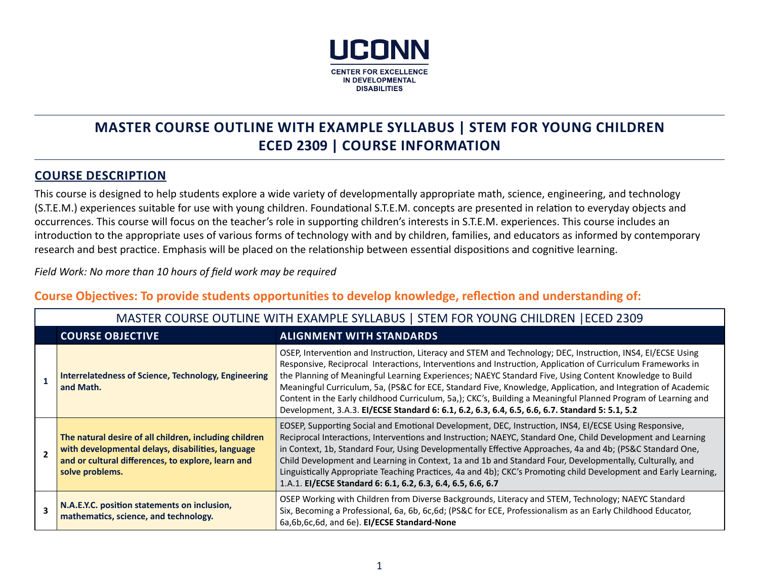

# **MASTER COURSE OUTLINE WITH EXAMPLE SYLLABUS | STEM FOR YOUNG CHILDREN ECED 2309 | COURSE INFORMATION**

## **COURSE DESCRIPTION**

This course is designed to help students explore a wide variety of developmentally appropriate math, science, engineering, and technology (S.T.E.M.) experiences suitable for use with young children. Foundational S.T.E.M. concepts are presented in relation to everyday objects and occurrences. This course will focus on the teacher's role in supporting children's interests in S.T.E.M. experiences. This course includes an introduction to the appropriate uses of various forms of technology with and by children, families, and educators as informed by contemporary research and best practice. Emphasis will be placed on the relationship between essential dispositions and cognitive learning.

*Field Work: No more than 10 hours of field work may be required*

## **Course Objectives: To provide students opportunities to develop knowledge, reflection and understanding of:**

| MASTER COURSE OUTLINE WITH EXAMPLE SYLLABUS   STEM FOR YOUNG CHILDREN   ECED 2309                                                                                                    |                                                                                                                                                                                                                                                                                                                                                                                                                                                                                                                                                                                                                                                                          |  |  |
|--------------------------------------------------------------------------------------------------------------------------------------------------------------------------------------|--------------------------------------------------------------------------------------------------------------------------------------------------------------------------------------------------------------------------------------------------------------------------------------------------------------------------------------------------------------------------------------------------------------------------------------------------------------------------------------------------------------------------------------------------------------------------------------------------------------------------------------------------------------------------|--|--|
| <b>COURSE OBJECTIVE</b><br><b>ALIGNMENT WITH STANDARDS</b>                                                                                                                           |                                                                                                                                                                                                                                                                                                                                                                                                                                                                                                                                                                                                                                                                          |  |  |
| <b>Interrelatedness of Science, Technology, Engineering</b><br>and Math.                                                                                                             | OSEP, Intervention and Instruction, Literacy and STEM and Technology; DEC, Instruction, INS4, EI/ECSE Using<br>Responsive, Reciprocal Interactions, Interventions and Instruction, Application of Curriculum Frameworks in<br>the Planning of Meaningful Learning Experiences; NAEYC Standard Five, Using Content Knowledge to Build<br>Meaningful Curriculum, 5a, (PS&C for ECE, Standard Five, Knowledge, Application, and Integration of Academic<br>Content in the Early childhood Curriculum, 5a,); CKC's, Building a Meaningful Planned Program of Learning and<br>Development, 3.A.3. El/ECSE Standard 6: 6.1, 6.2, 6.3, 6.4, 6.5, 6.6, 6.7. Standard 5: 5.1, 5.2 |  |  |
| The natural desire of all children, including children<br>with developmental delays, disabilities, language<br>and or cultural differences, to explore, learn and<br>solve problems. | EOSEP, Supporting Social and Emotional Development, DEC, Instruction, INS4, El/ECSE Using Responsive,<br>Reciprocal Interactions, Interventions and Instruction; NAEYC, Standard One, Child Development and Learning<br>in Context, 1b, Standard Four, Using Developmentally Effective Approaches, 4a and 4b; (PS&C Standard One,<br>Child Development and Learning in Context, 1a and 1b and Standard Four, Developmentally, Culturally, and<br>Linguistically Appropriate Teaching Practices, 4a and 4b); CKC's Promoting child Development and Early Learning,<br>1.A.1. El/ECSE Standard 6: 6.1, 6.2, 6.3, 6.4, 6.5, 6.6, 6.7                                        |  |  |
| N.A.E.Y.C. position statements on inclusion,<br>mathematics, science, and technology.                                                                                                | OSEP Working with Children from Diverse Backgrounds, Literacy and STEM, Technology; NAEYC Standard<br>Six, Becoming a Professional, 6a, 6b, 6c, 6d; (PS&C for ECE, Professionalism as an Early Childhood Educator,<br>6a,6b,6c,6d, and 6e). El/ECSE Standard-None                                                                                                                                                                                                                                                                                                                                                                                                        |  |  |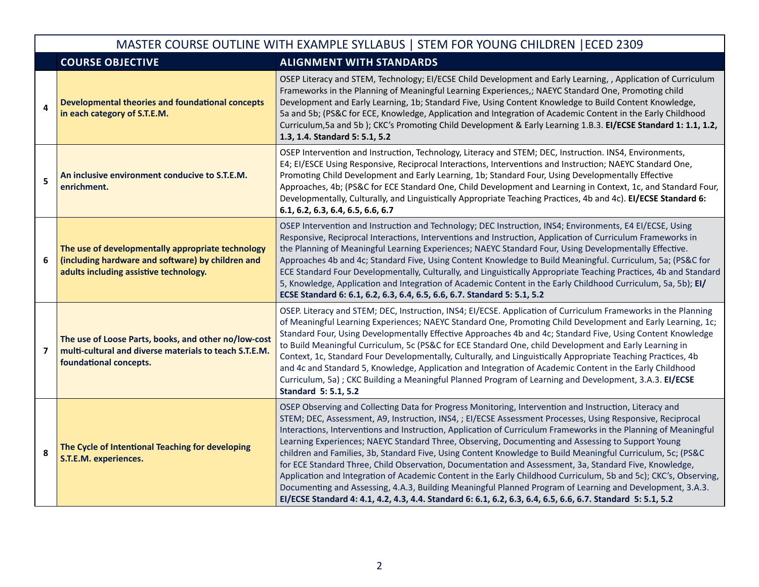| MASTER COURSE OUTLINE WITH EXAMPLE SYLLABUS   STEM FOR YOUNG CHILDREN   ECED 2309 |                                                                                                                                                  |                                                                                                                                                                                                                                                                                                                                                                                                                                                                                                                                                                                                                                                                                                                                                                                                                                                                                                                                                                                                                       |  |  |
|-----------------------------------------------------------------------------------|--------------------------------------------------------------------------------------------------------------------------------------------------|-----------------------------------------------------------------------------------------------------------------------------------------------------------------------------------------------------------------------------------------------------------------------------------------------------------------------------------------------------------------------------------------------------------------------------------------------------------------------------------------------------------------------------------------------------------------------------------------------------------------------------------------------------------------------------------------------------------------------------------------------------------------------------------------------------------------------------------------------------------------------------------------------------------------------------------------------------------------------------------------------------------------------|--|--|
|                                                                                   | <b>COURSE OBJECTIVE</b>                                                                                                                          | <b>ALIGNMENT WITH STANDARDS</b>                                                                                                                                                                                                                                                                                                                                                                                                                                                                                                                                                                                                                                                                                                                                                                                                                                                                                                                                                                                       |  |  |
| 4                                                                                 | <b>Developmental theories and foundational concepts</b><br>in each category of S.T.E.M.                                                          | OSEP Literacy and STEM, Technology; EI/ECSE Child Development and Early Learning, , Application of Curriculum<br>Frameworks in the Planning of Meaningful Learning Experiences,; NAEYC Standard One, Promoting child<br>Development and Early Learning, 1b; Standard Five, Using Content Knowledge to Build Content Knowledge,<br>5a and 5b; (PS&C for ECE, Knowledge, Application and Integration of Academic Content in the Early Childhood<br>Curriculum, 5a and 5b); CKC's Promoting Child Development & Early Learning 1.B.3. El/ECSE Standard 1: 1.1, 1.2,<br>1.3, 1.4. Standard 5: 5.1, 5.2                                                                                                                                                                                                                                                                                                                                                                                                                    |  |  |
| 5                                                                                 | An inclusive environment conducive to S.T.E.M.<br>enrichment.                                                                                    | OSEP Intervention and Instruction, Technology, Literacy and STEM; DEC, Instruction. INS4, Environments,<br>E4; EI/ESCE Using Responsive, Reciprocal Interactions, Interventions and Instruction; NAEYC Standard One,<br>Promoting Child Development and Early Learning, 1b; Standard Four, Using Developmentally Effective<br>Approaches, 4b; (PS&C for ECE Standard One, Child Development and Learning in Context, 1c, and Standard Four,<br>Developmentally, Culturally, and Linguistically Appropriate Teaching Practices, 4b and 4c). El/ECSE Standard 6:<br>6.1, 6.2, 6.3, 6.4, 6.5, 6.6, 6.7                                                                                                                                                                                                                                                                                                                                                                                                                   |  |  |
| 6                                                                                 | The use of developmentally appropriate technology<br>(including hardware and software) by children and<br>adults including assistive technology. | OSEP Intervention and Instruction and Technology; DEC Instruction, INS4; Environments, E4 EI/ECSE, Using<br>Responsive, Reciprocal Interactions, Interventions and Instruction, Application of Curriculum Frameworks in<br>the Planning of Meaningful Learning Experiences; NAEYC Standard Four, Using Developmentally Effective.<br>Approaches 4b and 4c; Standard Five, Using Content Knowledge to Build Meaningful. Curriculum, 5a; (PS&C for<br>ECE Standard Four Developmentally, Culturally, and Linguistically Appropriate Teaching Practices, 4b and Standard<br>5, Knowledge, Application and Integration of Academic Content in the Early Childhood Curriculum, 5a, 5b); El/<br>ECSE Standard 6: 6.1, 6.2, 6.3, 6.4, 6.5, 6.6, 6.7. Standard 5: 5.1, 5.2                                                                                                                                                                                                                                                    |  |  |
| $\overline{\mathbf{z}}$                                                           | The use of Loose Parts, books, and other no/low-cost<br>multi-cultural and diverse materials to teach S.T.E.M.<br>foundational concepts.         | OSEP. Literacy and STEM; DEC, Instruction, INS4; EI/ECSE. Application of Curriculum Frameworks in the Planning<br>of Meaningful Learning Experiences; NAEYC Standard One, Promoting Child Development and Early Learning, 1c;<br>Standard Four, Using Developmentally Effective Approaches 4b and 4c; Standard Five, Using Content Knowledge<br>to Build Meaningful Curriculum, 5c (PS&C for ECE Standard One, child Development and Early Learning in<br>Context, 1c, Standard Four Developmentally, Culturally, and Linguistically Appropriate Teaching Practices, 4b<br>and 4c and Standard 5, Knowledge, Application and Integration of Academic Content in the Early Childhood<br>Curriculum, 5a); CKC Building a Meaningful Planned Program of Learning and Development, 3.A.3. El/ECSE<br><b>Standard 5: 5.1, 5.2</b>                                                                                                                                                                                          |  |  |
| 8                                                                                 | The Cycle of Intentional Teaching for developing<br>S.T.E.M. experiences.                                                                        | OSEP Observing and Collecting Data for Progress Monitoring, Intervention and Instruction, Literacy and<br>STEM; DEC, Assessment, A9, Instruction, INS4, ; EI/ECSE Assessment Processes, Using Responsive, Reciprocal<br>Interactions, Interventions and Instruction, Application of Curriculum Frameworks in the Planning of Meaningful<br>Learning Experiences; NAEYC Standard Three, Observing, Documenting and Assessing to Support Young<br>children and Families, 3b, Standard Five, Using Content Knowledge to Build Meaningful Curriculum, 5c; (PS&C<br>for ECE Standard Three, Child Observation, Documentation and Assessment, 3a, Standard Five, Knowledge,<br>Application and Integration of Academic Content in the Early Childhood Curriculum, 5b and 5c); CKC's, Observing,<br>Documenting and Assessing, 4.A.3, Building Meaningful Planned Program of Learning and Development, 3.A.3.<br>El/ECSE Standard 4: 4.1, 4.2, 4.3, 4.4. Standard 6: 6.1, 6.2, 6.3, 6.4, 6.5, 6.6, 6.7. Standard 5: 5.1, 5.2 |  |  |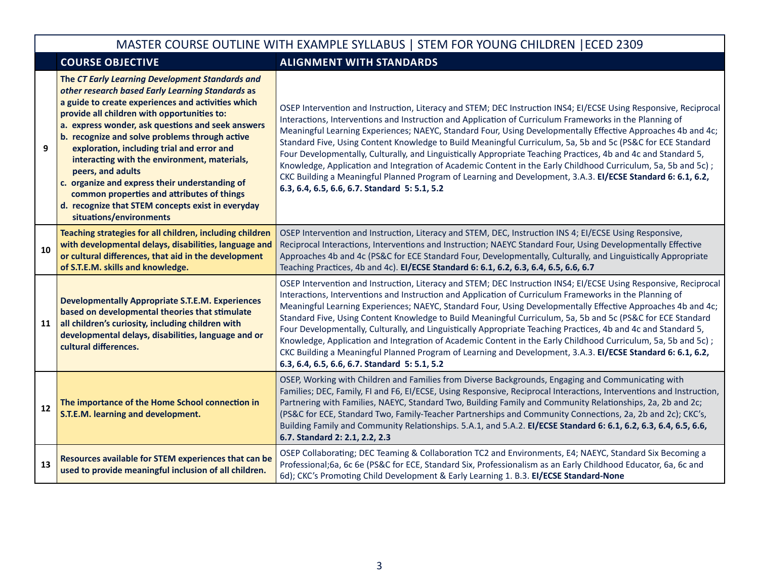## MASTER COURSE OUTLINE WITH EXAMPLE SYLLABUS | STEM FOR YOUNG CHILDREN |ECED 2309

### **COURSE OBJECTIVE ALIGNMENT WITH STANDARDS**

| 9  | The CT Early Learning Development Standards and<br>other research based Early Learning Standards as<br>a guide to create experiences and activities which<br>provide all children with opportunities to:<br>a. express wonder, ask questions and seek answers<br>b. recognize and solve problems through active<br>exploration, including trial and error and<br>interacting with the environment, materials,<br>peers, and adults<br>c. organize and express their understanding of<br>common properties and attributes of things<br>d. recognize that STEM concepts exist in everyday<br>situations/environments | OSEP Intervention and Instruction, Literacy and STEM; DEC Instruction INS4; EI/ECSE Using Responsive, Reciprocal<br>Interactions, Interventions and Instruction and Application of Curriculum Frameworks in the Planning of<br>Meaningful Learning Experiences; NAEYC, Standard Four, Using Developmentally Effective Approaches 4b and 4c;<br>Standard Five, Using Content Knowledge to Build Meaningful Curriculum, 5a, 5b and 5c (PS&C for ECE Standard<br>Four Developmentally, Culturally, and Linguistically Appropriate Teaching Practices, 4b and 4c and Standard 5,<br>Knowledge, Application and Integration of Academic Content in the Early Childhood Curriculum, 5a, 5b and 5c);<br>CKC Building a Meaningful Planned Program of Learning and Development, 3.A.3. El/ECSE Standard 6: 6.1, 6.2,<br>6.3, 6.4, 6.5, 6.6, 6.7. Standard 5: 5.1, 5.2 |
|----|--------------------------------------------------------------------------------------------------------------------------------------------------------------------------------------------------------------------------------------------------------------------------------------------------------------------------------------------------------------------------------------------------------------------------------------------------------------------------------------------------------------------------------------------------------------------------------------------------------------------|---------------------------------------------------------------------------------------------------------------------------------------------------------------------------------------------------------------------------------------------------------------------------------------------------------------------------------------------------------------------------------------------------------------------------------------------------------------------------------------------------------------------------------------------------------------------------------------------------------------------------------------------------------------------------------------------------------------------------------------------------------------------------------------------------------------------------------------------------------------|
| 10 | Teaching strategies for all children, including children<br>with developmental delays, disabilities, language and<br>or cultural differences, that aid in the development<br>of S.T.E.M. skills and knowledge.                                                                                                                                                                                                                                                                                                                                                                                                     | OSEP Intervention and Instruction, Literacy and STEM, DEC, Instruction INS 4; EI/ECSE Using Responsive,<br>Reciprocal Interactions, Interventions and Instruction; NAEYC Standard Four, Using Developmentally Effective<br>Approaches 4b and 4c (PS&C for ECE Standard Four, Developmentally, Culturally, and Linguistically Appropriate<br>Teaching Practices, 4b and 4c). El/ECSE Standard 6: 6.1, 6.2, 6.3, 6.4, 6.5, 6.6, 6.7                                                                                                                                                                                                                                                                                                                                                                                                                             |
| 11 | <b>Developmentally Appropriate S.T.E.M. Experiences</b><br>based on developmental theories that stimulate<br>all children's curiosity, including children with<br>developmental delays, disabilities, language and or<br>cultural differences.                                                                                                                                                                                                                                                                                                                                                                     | OSEP Intervention and Instruction, Literacy and STEM; DEC Instruction INS4; EI/ECSE Using Responsive, Reciprocal<br>Interactions, Interventions and Instruction and Application of Curriculum Frameworks in the Planning of<br>Meaningful Learning Experiences; NAEYC, Standard Four, Using Developmentally Effective Approaches 4b and 4c;<br>Standard Five, Using Content Knowledge to Build Meaningful Curriculum, 5a, 5b and 5c (PS&C for ECE Standard<br>Four Developmentally, Culturally, and Linguistically Appropriate Teaching Practices, 4b and 4c and Standard 5,<br>Knowledge, Application and Integration of Academic Content in the Early Childhood Curriculum, 5a, 5b and 5c);<br>CKC Building a Meaningful Planned Program of Learning and Development, 3.A.3. El/ECSE Standard 6: 6.1, 6.2,<br>6.3, 6.4, 6.5, 6.6, 6.7. Standard 5: 5.1, 5.2 |
| 12 | The importance of the Home School connection in<br>S.T.E.M. learning and development.                                                                                                                                                                                                                                                                                                                                                                                                                                                                                                                              | OSEP, Working with Children and Families from Diverse Backgrounds, Engaging and Communicating with<br>Families; DEC, Family, FI and F6, EI/ECSE, Using Responsive, Reciprocal Interactions, Interventions and Instruction,<br>Partnering with Families, NAEYC, Standard Two, Building Family and Community Relationships, 2a, 2b and 2c;<br>(PS&C for ECE, Standard Two, Family-Teacher Partnerships and Community Connections, 2a, 2b and 2c); CKC's,<br>Building Family and Community Relationships. 5.A.1, and 5.A.2. El/ECSE Standard 6: 6.1, 6.2, 6.3, 6.4, 6.5, 6.6,<br>6.7. Standard 2: 2.1, 2.2, 2.3                                                                                                                                                                                                                                                  |
| 13 | Resources available for STEM experiences that can be<br>used to provide meaningful inclusion of all children.                                                                                                                                                                                                                                                                                                                                                                                                                                                                                                      | OSEP Collaborating; DEC Teaming & Collaboration TC2 and Environments, E4; NAEYC, Standard Six Becoming a<br>Professional;6a, 6c 6e (PS&C for ECE, Standard Six, Professionalism as an Early Childhood Educator, 6a, 6c and<br>6d); CKC's Promoting Child Development & Early Learning 1. B.3. El/ECSE Standard-None                                                                                                                                                                                                                                                                                                                                                                                                                                                                                                                                           |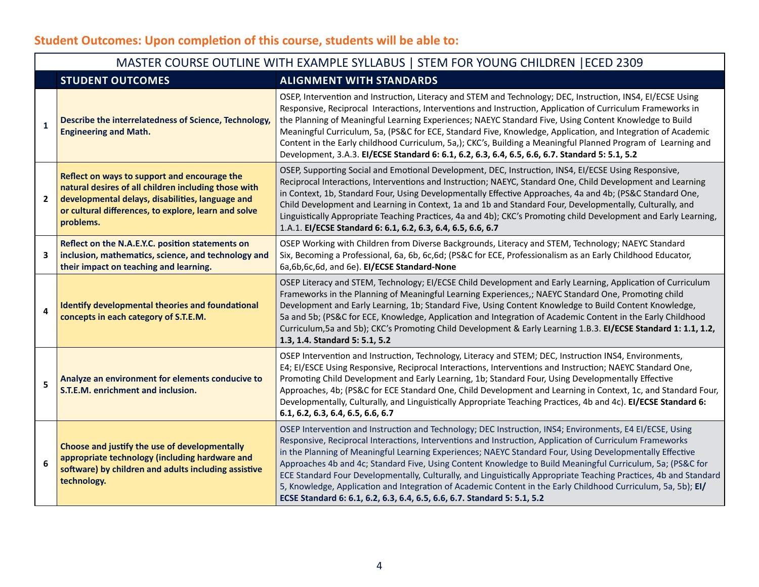# **Student Outcomes: Upon completion of this course, students will be able to:**

Г

|                | MASTER COURSE OUTLINE WITH EXAMPLE SYLLABUS   STEM FOR YOUNG CHILDREN   ECED 2309                                                                                                                                             |                                                                                                                                                                                                                                                                                                                                                                                                                                                                                                                                                                                                                                                                                                                                                                  |  |  |
|----------------|-------------------------------------------------------------------------------------------------------------------------------------------------------------------------------------------------------------------------------|------------------------------------------------------------------------------------------------------------------------------------------------------------------------------------------------------------------------------------------------------------------------------------------------------------------------------------------------------------------------------------------------------------------------------------------------------------------------------------------------------------------------------------------------------------------------------------------------------------------------------------------------------------------------------------------------------------------------------------------------------------------|--|--|
|                | <b>STUDENT OUTCOMES</b>                                                                                                                                                                                                       | <b>ALIGNMENT WITH STANDARDS</b>                                                                                                                                                                                                                                                                                                                                                                                                                                                                                                                                                                                                                                                                                                                                  |  |  |
| $\mathbf{1}$   | Describe the interrelatedness of Science, Technology,<br><b>Engineering and Math.</b>                                                                                                                                         | OSEP, Intervention and Instruction, Literacy and STEM and Technology; DEC, Instruction, INS4, EI/ECSE Using<br>Responsive, Reciprocal Interactions, Interventions and Instruction, Application of Curriculum Frameworks in<br>the Planning of Meaningful Learning Experiences; NAEYC Standard Five, Using Content Knowledge to Build<br>Meaningful Curriculum, 5a, (PS&C for ECE, Standard Five, Knowledge, Application, and Integration of Academic<br>Content in the Early childhood Curriculum, 5a,); CKC's, Building a Meaningful Planned Program of Learning and<br>Development, 3.A.3. EI/ECSE Standard 6: 6.1, 6.2, 6.3, 6.4, 6.5, 6.6, 6.7. Standard 5: 5.1, 5.2                                                                                         |  |  |
| $\overline{2}$ | Reflect on ways to support and encourage the<br>natural desires of all children including those with<br>developmental delays, disabilities, language and<br>or cultural differences, to explore, learn and solve<br>problems. | OSEP, Supporting Social and Emotional Development, DEC, Instruction, INS4, EI/ECSE Using Responsive,<br>Reciprocal Interactions, Interventions and Instruction; NAEYC, Standard One, Child Development and Learning<br>in Context, 1b, Standard Four, Using Developmentally Effective Approaches, 4a and 4b; (PS&C Standard One,<br>Child Development and Learning in Context, 1a and 1b and Standard Four, Developmentally, Culturally, and<br>Linguistically Appropriate Teaching Practices, 4a and 4b); CKC's Promoting child Development and Early Learning,<br>1.A.1. EI/ECSE Standard 6: 6.1, 6.2, 6.3, 6.4, 6.5, 6.6, 6.7                                                                                                                                 |  |  |
| 3              | Reflect on the N.A.E.Y.C. position statements on<br>inclusion, mathematics, science, and technology and<br>their impact on teaching and learning.                                                                             | OSEP Working with Children from Diverse Backgrounds, Literacy and STEM, Technology; NAEYC Standard<br>Six, Becoming a Professional, 6a, 6b, 6c, 6d; (PS&C for ECE, Professionalism as an Early Childhood Educator,<br>6a,6b,6c,6d, and 6e). El/ECSE Standard-None                                                                                                                                                                                                                                                                                                                                                                                                                                                                                                |  |  |
| $\overline{4}$ | <b>Identify developmental theories and foundational</b><br>concepts in each category of S.T.E.M.                                                                                                                              | OSEP Literacy and STEM, Technology; EI/ECSE Child Development and Early Learning, Application of Curriculum<br>Frameworks in the Planning of Meaningful Learning Experiences,; NAEYC Standard One, Promoting child<br>Development and Early Learning, 1b; Standard Five, Using Content Knowledge to Build Content Knowledge,<br>5a and 5b; (PS&C for ECE, Knowledge, Application and Integration of Academic Content in the Early Childhood<br>Curriculum, 5a and 5b); CKC's Promoting Child Development & Early Learning 1.B.3. El/ECSE Standard 1: 1.1, 1.2,<br>1.3, 1.4. Standard 5: 5.1, 5.2                                                                                                                                                                 |  |  |
| 5              | Analyze an environment for elements conducive to<br>S.T.E.M. enrichment and inclusion.                                                                                                                                        | OSEP Intervention and Instruction, Technology, Literacy and STEM; DEC, Instruction INS4, Environments,<br>E4; EI/ESCE Using Responsive, Reciprocal Interactions, Interventions and Instruction; NAEYC Standard One,<br>Promoting Child Development and Early Learning, 1b; Standard Four, Using Developmentally Effective<br>Approaches, 4b; (PS&C for ECE Standard One, Child Development and Learning in Context, 1c, and Standard Four,<br>Developmentally, Culturally, and Linguistically Appropriate Teaching Practices, 4b and 4c). El/ECSE Standard 6:<br>6.1, 6.2, 6.3, 6.4, 6.5, 6.6, 6.7                                                                                                                                                               |  |  |
| 6              | Choose and justify the use of developmentally<br>appropriate technology (including hardware and<br>software) by children and adults including assistive<br>technology.                                                        | OSEP Intervention and Instruction and Technology; DEC Instruction, INS4; Environments, E4 EI/ECSE, Using<br>Responsive, Reciprocal Interactions, Interventions and Instruction, Application of Curriculum Frameworks<br>in the Planning of Meaningful Learning Experiences; NAEYC Standard Four, Using Developmentally Effective<br>Approaches 4b and 4c; Standard Five, Using Content Knowledge to Build Meaningful Curriculum, 5a; (PS&C for<br>ECE Standard Four Developmentally, Culturally, and Linguistically Appropriate Teaching Practices, 4b and Standard<br>5, Knowledge, Application and Integration of Academic Content in the Early Childhood Curriculum, 5a, 5b); El/<br>ECSE Standard 6: 6.1, 6.2, 6.3, 6.4, 6.5, 6.6, 6.7. Standard 5: 5.1, 5.2 |  |  |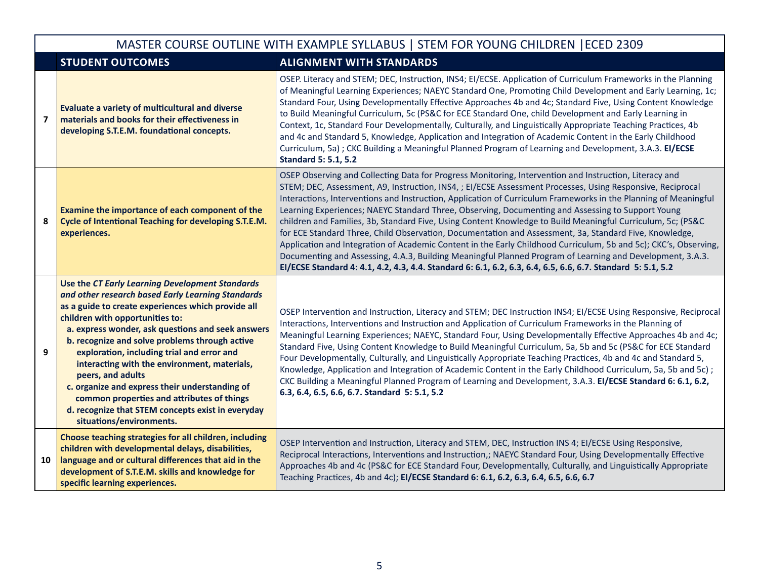|                         | MASTER COURSE OUTLINE WITH EXAMPLE SYLLABUS   STEM FOR YOUNG CHILDREN   ECED 2309                                                                                                                                                                                                                                                                                                                                                                                                                                                                                                                        |                                                                                                                                                                                                                                                                                                                                                                                                                                                                                                                                                                                                                                                                                                                                                                                                                                                                                                                                                                                                                       |  |  |
|-------------------------|----------------------------------------------------------------------------------------------------------------------------------------------------------------------------------------------------------------------------------------------------------------------------------------------------------------------------------------------------------------------------------------------------------------------------------------------------------------------------------------------------------------------------------------------------------------------------------------------------------|-----------------------------------------------------------------------------------------------------------------------------------------------------------------------------------------------------------------------------------------------------------------------------------------------------------------------------------------------------------------------------------------------------------------------------------------------------------------------------------------------------------------------------------------------------------------------------------------------------------------------------------------------------------------------------------------------------------------------------------------------------------------------------------------------------------------------------------------------------------------------------------------------------------------------------------------------------------------------------------------------------------------------|--|--|
|                         | <b>STUDENT OUTCOMES</b>                                                                                                                                                                                                                                                                                                                                                                                                                                                                                                                                                                                  | <b>ALIGNMENT WITH STANDARDS</b>                                                                                                                                                                                                                                                                                                                                                                                                                                                                                                                                                                                                                                                                                                                                                                                                                                                                                                                                                                                       |  |  |
| $\overline{\mathbf{z}}$ | Evaluate a variety of multicultural and diverse<br>materials and books for their effectiveness in<br>developing S.T.E.M. foundational concepts.                                                                                                                                                                                                                                                                                                                                                                                                                                                          | OSEP. Literacy and STEM; DEC, Instruction, INS4; EI/ECSE. Application of Curriculum Frameworks in the Planning<br>of Meaningful Learning Experiences; NAEYC Standard One, Promoting Child Development and Early Learning, 1c;<br>Standard Four, Using Developmentally Effective Approaches 4b and 4c; Standard Five, Using Content Knowledge<br>to Build Meaningful Curriculum, 5c (PS&C for ECE Standard One, child Development and Early Learning in<br>Context, 1c, Standard Four Developmentally, Culturally, and Linguistically Appropriate Teaching Practices, 4b<br>and 4c and Standard 5, Knowledge, Application and Integration of Academic Content in the Early Childhood<br>Curriculum, 5a); CKC Building a Meaningful Planned Program of Learning and Development, 3.A.3. El/ECSE<br><b>Standard 5: 5.1, 5.2</b>                                                                                                                                                                                          |  |  |
| 8                       | Examine the importance of each component of the<br>Cycle of Intentional Teaching for developing S.T.E.M.<br>experiences.                                                                                                                                                                                                                                                                                                                                                                                                                                                                                 | OSEP Observing and Collecting Data for Progress Monitoring, Intervention and Instruction, Literacy and<br>STEM; DEC, Assessment, A9, Instruction, INS4, ; EI/ECSE Assessment Processes, Using Responsive, Reciprocal<br>Interactions, Interventions and Instruction, Application of Curriculum Frameworks in the Planning of Meaningful<br>Learning Experiences; NAEYC Standard Three, Observing, Documenting and Assessing to Support Young<br>children and Families, 3b, Standard Five, Using Content Knowledge to Build Meaningful Curriculum, 5c; (PS&C<br>for ECE Standard Three, Child Observation, Documentation and Assessment, 3a, Standard Five, Knowledge,<br>Application and Integration of Academic Content in the Early Childhood Curriculum, 5b and 5c); CKC's, Observing,<br>Documenting and Assessing, 4.A.3, Building Meaningful Planned Program of Learning and Development, 3.A.3.<br>El/ECSE Standard 4: 4.1, 4.2, 4.3, 4.4. Standard 6: 6.1, 6.2, 6.3, 6.4, 6.5, 6.6, 6.7. Standard 5: 5.1, 5.2 |  |  |
| 9                       | Use the CT Early Learning Development Standards<br>and other research based Early Learning Standards<br>as a guide to create experiences which provide all<br>children with opportunities to:<br>a. express wonder, ask questions and seek answers<br>b. recognize and solve problems through active<br>exploration, including trial and error and<br>interacting with the environment, materials,<br>peers, and adults<br>c. organize and express their understanding of<br>common properties and attributes of things<br>d. recognize that STEM concepts exist in everyday<br>situations/environments. | OSEP Intervention and Instruction, Literacy and STEM; DEC Instruction INS4; EI/ECSE Using Responsive, Reciprocal<br>Interactions, Interventions and Instruction and Application of Curriculum Frameworks in the Planning of<br>Meaningful Learning Experiences; NAEYC, Standard Four, Using Developmentally Effective Approaches 4b and 4c;<br>Standard Five, Using Content Knowledge to Build Meaningful Curriculum, 5a, 5b and 5c (PS&C for ECE Standard<br>Four Developmentally, Culturally, and Linguistically Appropriate Teaching Practices, 4b and 4c and Standard 5,<br>Knowledge, Application and Integration of Academic Content in the Early Childhood Curriculum, 5a, 5b and 5c);<br>CKC Building a Meaningful Planned Program of Learning and Development, 3.A.3. El/ECSE Standard 6: 6.1, 6.2,<br>6.3, 6.4, 6.5, 6.6, 6.7. Standard 5: 5.1, 5.2                                                                                                                                                         |  |  |
| 10                      | Choose teaching strategies for all children, including<br>children with developmental delays, disabilities,<br>language and or cultural differences that aid in the<br>development of S.T.E.M. skills and knowledge for<br>specific learning experiences.                                                                                                                                                                                                                                                                                                                                                | OSEP Intervention and Instruction, Literacy and STEM, DEC, Instruction INS 4; EI/ECSE Using Responsive,<br>Reciprocal Interactions, Interventions and Instruction,; NAEYC Standard Four, Using Developmentally Effective<br>Approaches 4b and 4c (PS&C for ECE Standard Four, Developmentally, Culturally, and Linguistically Appropriate<br>Teaching Practices, 4b and 4c); EI/ECSE Standard 6: 6.1, 6.2, 6.3, 6.4, 6.5, 6.6, 6.7                                                                                                                                                                                                                                                                                                                                                                                                                                                                                                                                                                                    |  |  |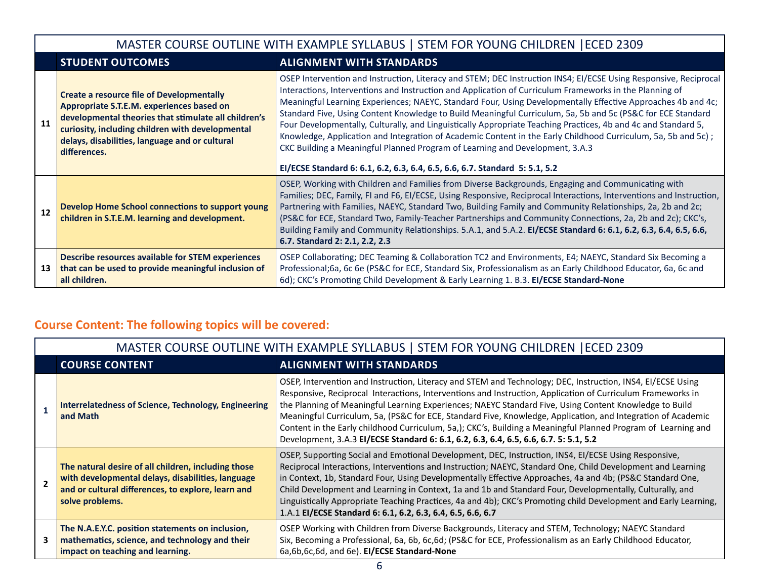|    | MASTER COURSE OUTLINE WITH EXAMPLE SYLLABUS   STEM FOR YOUNG CHILDREN   ECED 2309                                                                                                                                                                                           |                                                                                                                                                                                                                                                                                                                                                                                                                                                                                                                                                                                                                                                                                                                                                                                                                                                              |  |  |
|----|-----------------------------------------------------------------------------------------------------------------------------------------------------------------------------------------------------------------------------------------------------------------------------|--------------------------------------------------------------------------------------------------------------------------------------------------------------------------------------------------------------------------------------------------------------------------------------------------------------------------------------------------------------------------------------------------------------------------------------------------------------------------------------------------------------------------------------------------------------------------------------------------------------------------------------------------------------------------------------------------------------------------------------------------------------------------------------------------------------------------------------------------------------|--|--|
|    | <b>STUDENT OUTCOMES</b><br><b>ALIGNMENT WITH STANDARDS</b>                                                                                                                                                                                                                  |                                                                                                                                                                                                                                                                                                                                                                                                                                                                                                                                                                                                                                                                                                                                                                                                                                                              |  |  |
| 11 | <b>Create a resource file of Developmentally</b><br>Appropriate S.T.E.M. experiences based on<br>developmental theories that stimulate all children's<br>curiosity, including children with developmental<br>delays, disabilities, language and or cultural<br>differences. | OSEP Intervention and Instruction, Literacy and STEM; DEC Instruction INS4; EI/ECSE Using Responsive, Reciprocal<br>Interactions, Interventions and Instruction and Application of Curriculum Frameworks in the Planning of<br>Meaningful Learning Experiences; NAEYC, Standard Four, Using Developmentally Effective Approaches 4b and 4c;<br>Standard Five, Using Content Knowledge to Build Meaningful Curriculum, 5a, 5b and 5c (PS&C for ECE Standard<br>Four Developmentally, Culturally, and Linguistically Appropriate Teaching Practices, 4b and 4c and Standard 5,<br>Knowledge, Application and Integration of Academic Content in the Early Childhood Curriculum, 5a, 5b and 5c);<br>CKC Building a Meaningful Planned Program of Learning and Development, 3.A.3<br>El/ECSE Standard 6: 6.1, 6.2, 6.3, 6.4, 6.5, 6.6, 6.7. Standard 5: 5.1, 5.2 |  |  |
| 12 | Develop Home School connections to support young<br>children in S.T.E.M. learning and development.                                                                                                                                                                          | OSEP, Working with Children and Families from Diverse Backgrounds, Engaging and Communicating with<br>Families; DEC, Family, FI and F6, EI/ECSE, Using Responsive, Reciprocal Interactions, Interventions and Instruction,<br>Partnering with Families, NAEYC, Standard Two, Building Family and Community Relationships, 2a, 2b and 2c;<br>(PS&C for ECE, Standard Two, Family-Teacher Partnerships and Community Connections, 2a, 2b and 2c); CKC's,<br>Building Family and Community Relationships. 5.A.1, and 5.A.2. El/ECSE Standard 6: 6.1, 6.2, 6.3, 6.4, 6.5, 6.6,<br>6.7. Standard 2: 2.1, 2.2, 2.3                                                                                                                                                                                                                                                 |  |  |
| 13 | Describe resources available for STEM experiences<br>that can be used to provide meaningful inclusion of<br>all children.                                                                                                                                                   | OSEP Collaborating; DEC Teaming & Collaboration TC2 and Environments, E4; NAEYC, Standard Six Becoming a<br>Professional;6a, 6c 6e (PS&C for ECE, Standard Six, Professionalism as an Early Childhood Educator, 6a, 6c and<br>6d); CKC's Promoting Child Development & Early Learning 1. B.3. EI/ECSE Standard-None                                                                                                                                                                                                                                                                                                                                                                                                                                                                                                                                          |  |  |

# **Course Content: The following topics will be covered:**

| MASTER COURSE OUTLINE WITH EXAMPLE SYLLABUS   STEM FOR YOUNG CHILDREN   ECED 2309                                                                                                 |                                                                                                                                                                                                                                                                                                                                                                                                                                                                                                                                                                                                                                                                |  |
|-----------------------------------------------------------------------------------------------------------------------------------------------------------------------------------|----------------------------------------------------------------------------------------------------------------------------------------------------------------------------------------------------------------------------------------------------------------------------------------------------------------------------------------------------------------------------------------------------------------------------------------------------------------------------------------------------------------------------------------------------------------------------------------------------------------------------------------------------------------|--|
| <b>COURSE CONTENT</b><br><b>ALIGNMENT WITH STANDARDS</b>                                                                                                                          |                                                                                                                                                                                                                                                                                                                                                                                                                                                                                                                                                                                                                                                                |  |
| <b>Interrelatedness of Science, Technology, Engineering</b><br>and Math                                                                                                           | OSEP, Intervention and Instruction, Literacy and STEM and Technology; DEC, Instruction, INS4, El/ECSE Using<br>Responsive, Reciprocal Interactions, Interventions and Instruction, Application of Curriculum Frameworks in<br>the Planning of Meaningful Learning Experiences; NAEYC Standard Five, Using Content Knowledge to Build<br>Meaningful Curriculum, 5a, (PS&C for ECE, Standard Five, Knowledge, Application, and Integration of Academic<br>Content in the Early childhood Curriculum, 5a,); CKC's, Building a Meaningful Planned Program of Learning and<br>Development, 3.A.3 EI/ECSE Standard 6: 6.1, 6.2, 6.3, 6.4, 6.5, 6.6, 6.7. 5: 5.1, 5.2 |  |
| The natural desire of all children, including those<br>with developmental delays, disabilities, language<br>and or cultural differences, to explore, learn and<br>solve problems. | OSEP, Supporting Social and Emotional Development, DEC, Instruction, INS4, EI/ECSE Using Responsive,<br>Reciprocal Interactions, Interventions and Instruction; NAEYC, Standard One, Child Development and Learning<br>in Context, 1b, Standard Four, Using Developmentally Effective Approaches, 4a and 4b; (PS&C Standard One,<br>Child Development and Learning in Context, 1a and 1b and Standard Four, Developmentally, Culturally, and<br>Linguistically Appropriate Teaching Practices, 4a and 4b); CKC's Promoting child Development and Early Learning,<br>1.A.1 EI/ECSE Standard 6: 6.1, 6.2, 6.3, 6.4, 6.5, 6.6, 6.7                                |  |
| The N.A.E.Y.C. position statements on inclusion,<br>mathematics, science, and technology and their<br>impact on teaching and learning.                                            | OSEP Working with Children from Diverse Backgrounds, Literacy and STEM, Technology; NAEYC Standard<br>Six, Becoming a Professional, 6a, 6b, 6c, 6d; (PS&C for ECE, Professionalism as an Early Childhood Educator,<br>6a,6b,6c,6d, and 6e). El/ECSE Standard-None                                                                                                                                                                                                                                                                                                                                                                                              |  |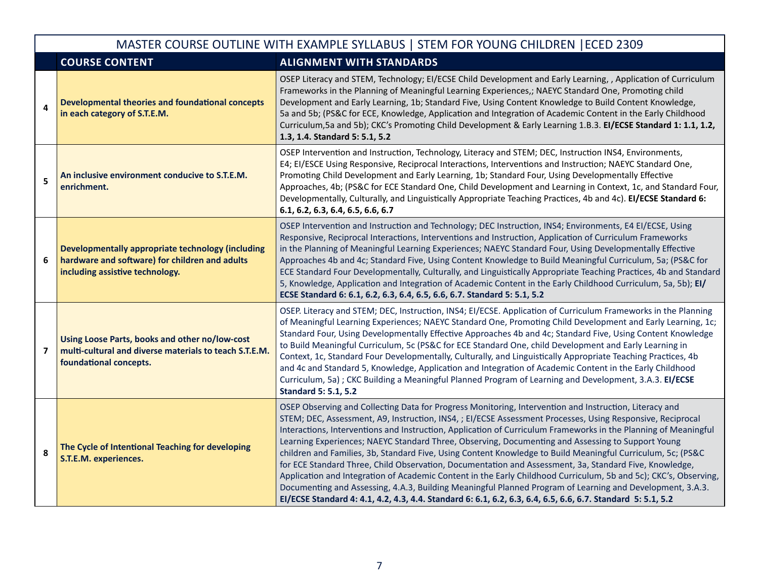| MASTER COURSE OUTLINE WITH EXAMPLE SYLLABUS   STEM FOR YOUNG CHILDREN   ECED 2309 |                                                                                                                                        |                                                                                                                                                                                                                                                                                                                                                                                                                                                                                                                                                                                                                                                                                                                                                                                                                                                                                                                                                                                                                       |  |  |
|-----------------------------------------------------------------------------------|----------------------------------------------------------------------------------------------------------------------------------------|-----------------------------------------------------------------------------------------------------------------------------------------------------------------------------------------------------------------------------------------------------------------------------------------------------------------------------------------------------------------------------------------------------------------------------------------------------------------------------------------------------------------------------------------------------------------------------------------------------------------------------------------------------------------------------------------------------------------------------------------------------------------------------------------------------------------------------------------------------------------------------------------------------------------------------------------------------------------------------------------------------------------------|--|--|
|                                                                                   | <b>COURSE CONTENT</b>                                                                                                                  | <b>ALIGNMENT WITH STANDARDS</b>                                                                                                                                                                                                                                                                                                                                                                                                                                                                                                                                                                                                                                                                                                                                                                                                                                                                                                                                                                                       |  |  |
| 4                                                                                 | <b>Developmental theories and foundational concepts</b><br>in each category of S.T.E.M.                                                | OSEP Literacy and STEM, Technology; EI/ECSE Child Development and Early Learning, , Application of Curriculum<br>Frameworks in the Planning of Meaningful Learning Experiences,; NAEYC Standard One, Promoting child<br>Development and Early Learning, 1b; Standard Five, Using Content Knowledge to Build Content Knowledge,<br>5a and 5b; (PS&C for ECE, Knowledge, Application and Integration of Academic Content in the Early Childhood<br>Curriculum, 5a and 5b); CKC's Promoting Child Development & Early Learning 1.B.3. El/ECSE Standard 1: 1.1, 1.2,<br>1.3, 1.4. Standard 5: 5.1, 5.2                                                                                                                                                                                                                                                                                                                                                                                                                    |  |  |
| 5                                                                                 | An inclusive environment conducive to S.T.E.M.<br>enrichment.                                                                          | OSEP Intervention and Instruction, Technology, Literacy and STEM; DEC, Instruction INS4, Environments,<br>E4; EI/ESCE Using Responsive, Reciprocal Interactions, Interventions and Instruction; NAEYC Standard One,<br>Promoting Child Development and Early Learning, 1b; Standard Four, Using Developmentally Effective<br>Approaches, 4b; (PS&C for ECE Standard One, Child Development and Learning in Context, 1c, and Standard Four,<br>Developmentally, Culturally, and Linguistically Appropriate Teaching Practices, 4b and 4c). El/ECSE Standard 6:<br>6.1, 6.2, 6.3, 6.4, 6.5, 6.6, 6.7                                                                                                                                                                                                                                                                                                                                                                                                                    |  |  |
| 6                                                                                 | Developmentally appropriate technology (including<br>hardware and software) for children and adults<br>including assistive technology. | OSEP Intervention and Instruction and Technology; DEC Instruction, INS4; Environments, E4 EI/ECSE, Using<br>Responsive, Reciprocal Interactions, Interventions and Instruction, Application of Curriculum Frameworks<br>in the Planning of Meaningful Learning Experiences; NAEYC Standard Four, Using Developmentally Effective<br>Approaches 4b and 4c; Standard Five, Using Content Knowledge to Build Meaningful Curriculum, 5a; (PS&C for<br>ECE Standard Four Developmentally, Culturally, and Linguistically Appropriate Teaching Practices, 4b and Standard<br>5, Knowledge, Application and Integration of Academic Content in the Early Childhood Curriculum, 5a, 5b); El/<br>ECSE Standard 6: 6.1, 6.2, 6.3, 6.4, 6.5, 6.6, 6.7. Standard 5: 5.1, 5.2                                                                                                                                                                                                                                                      |  |  |
| $\overline{\mathbf{z}}$                                                           | Using Loose Parts, books and other no/low-cost<br>multi-cultural and diverse materials to teach S.T.E.M.<br>foundational concepts.     | OSEP. Literacy and STEM; DEC, Instruction, INS4; EI/ECSE. Application of Curriculum Frameworks in the Planning<br>of Meaningful Learning Experiences; NAEYC Standard One, Promoting Child Development and Early Learning, 1c;<br>Standard Four, Using Developmentally Effective Approaches 4b and 4c; Standard Five, Using Content Knowledge<br>to Build Meaningful Curriculum, 5c (PS&C for ECE Standard One, child Development and Early Learning in<br>Context, 1c, Standard Four Developmentally, Culturally, and Linguistically Appropriate Teaching Practices, 4b<br>and 4c and Standard 5, Knowledge, Application and Integration of Academic Content in the Early Childhood<br>Curriculum, 5a); CKC Building a Meaningful Planned Program of Learning and Development, 3.A.3. El/ECSE<br><b>Standard 5: 5.1, 5.2</b>                                                                                                                                                                                          |  |  |
| 8                                                                                 | The Cycle of Intentional Teaching for developing<br>S.T.E.M. experiences.                                                              | OSEP Observing and Collecting Data for Progress Monitoring, Intervention and Instruction, Literacy and<br>STEM; DEC, Assessment, A9, Instruction, INS4, ; EI/ECSE Assessment Processes, Using Responsive, Reciprocal<br>Interactions, Interventions and Instruction, Application of Curriculum Frameworks in the Planning of Meaningful<br>Learning Experiences; NAEYC Standard Three, Observing, Documenting and Assessing to Support Young<br>children and Families, 3b, Standard Five, Using Content Knowledge to Build Meaningful Curriculum, 5c; (PS&C<br>for ECE Standard Three, Child Observation, Documentation and Assessment, 3a, Standard Five, Knowledge,<br>Application and Integration of Academic Content in the Early Childhood Curriculum, 5b and 5c); CKC's, Observing,<br>Documenting and Assessing, 4.A.3, Building Meaningful Planned Program of Learning and Development, 3.A.3.<br>El/ECSE Standard 4: 4.1, 4.2, 4.3, 4.4. Standard 6: 6.1, 6.2, 6.3, 6.4, 6.5, 6.6, 6.7. Standard 5: 5.1, 5.2 |  |  |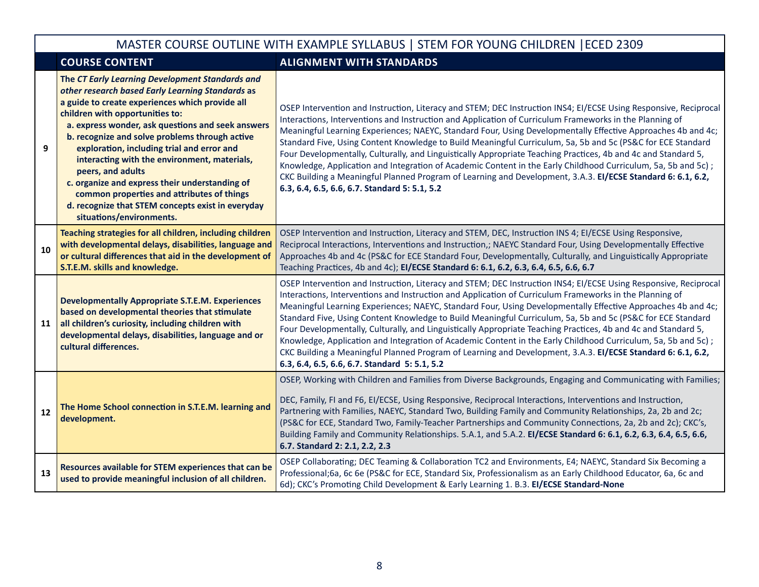## MASTER COURSE OUTLINE WITH EXAMPLE SYLLABUS | STEM FOR YOUNG CHILDREN |ECED 2309

|    | <b>COURSE CONTENT</b>                                                                                                                                                                                                                                                                                                                                                                                                                                                                                                                                                                                | <b>ALIGNMENT WITH STANDARDS</b>                                                                                                                                                                                                                                                                                                                                                                                                                                                                                                                                                                                                                                                                                                                                                                                                                               |  |
|----|------------------------------------------------------------------------------------------------------------------------------------------------------------------------------------------------------------------------------------------------------------------------------------------------------------------------------------------------------------------------------------------------------------------------------------------------------------------------------------------------------------------------------------------------------------------------------------------------------|---------------------------------------------------------------------------------------------------------------------------------------------------------------------------------------------------------------------------------------------------------------------------------------------------------------------------------------------------------------------------------------------------------------------------------------------------------------------------------------------------------------------------------------------------------------------------------------------------------------------------------------------------------------------------------------------------------------------------------------------------------------------------------------------------------------------------------------------------------------|--|
| 9  | The CT Early Learning Development Standards and<br>other research based Early Learning Standards as<br>a guide to create experiences which provide all<br>children with opportunities to:<br>a. express wonder, ask questions and seek answers<br>b. recognize and solve problems through active<br>exploration, including trial and error and<br>interacting with the environment, materials,<br>peers, and adults<br>c. organize and express their understanding of<br>common properties and attributes of things<br>d. recognize that STEM concepts exist in everyday<br>situations/environments. | OSEP Intervention and Instruction, Literacy and STEM; DEC Instruction INS4; EI/ECSE Using Responsive, Reciprocal<br>Interactions, Interventions and Instruction and Application of Curriculum Frameworks in the Planning of<br>Meaningful Learning Experiences; NAEYC, Standard Four, Using Developmentally Effective Approaches 4b and 4c;<br>Standard Five, Using Content Knowledge to Build Meaningful Curriculum, 5a, 5b and 5c (PS&C for ECE Standard<br>Four Developmentally, Culturally, and Linguistically Appropriate Teaching Practices, 4b and 4c and Standard 5,<br>Knowledge, Application and Integration of Academic Content in the Early Childhood Curriculum, 5a, 5b and 5c);<br>CKC Building a Meaningful Planned Program of Learning and Development, 3.A.3. El/ECSE Standard 6: 6.1, 6.2,<br>6.3, 6.4, 6.5, 6.6, 6.7. Standard 5: 5.1, 5.2 |  |
| 10 | Teaching strategies for all children, including children<br>with developmental delays, disabilities, language and<br>or cultural differences that aid in the development of<br>S.T.E.M. skills and knowledge.                                                                                                                                                                                                                                                                                                                                                                                        | OSEP Intervention and Instruction, Literacy and STEM, DEC, Instruction INS 4; EI/ECSE Using Responsive,<br>Reciprocal Interactions, Interventions and Instruction,; NAEYC Standard Four, Using Developmentally Effective<br>Approaches 4b and 4c (PS&C for ECE Standard Four, Developmentally, Culturally, and Linguistically Appropriate<br>Teaching Practices, 4b and 4c); EI/ECSE Standard 6: 6.1, 6.2, 6.3, 6.4, 6.5, 6.6, 6.7                                                                                                                                                                                                                                                                                                                                                                                                                            |  |
| 11 | <b>Developmentally Appropriate S.T.E.M. Experiences</b><br>based on developmental theories that stimulate<br>all children's curiosity, including children with<br>developmental delays, disabilities, language and or<br>cultural differences.                                                                                                                                                                                                                                                                                                                                                       | OSEP Intervention and Instruction, Literacy and STEM; DEC Instruction INS4; EI/ECSE Using Responsive, Reciprocal<br>Interactions, Interventions and Instruction and Application of Curriculum Frameworks in the Planning of<br>Meaningful Learning Experiences; NAEYC, Standard Four, Using Developmentally Effective Approaches 4b and 4c;<br>Standard Five, Using Content Knowledge to Build Meaningful Curriculum, 5a, 5b and 5c (PS&C for ECE Standard<br>Four Developmentally, Culturally, and Linguistically Appropriate Teaching Practices, 4b and 4c and Standard 5,<br>Knowledge, Application and Integration of Academic Content in the Early Childhood Curriculum, 5a, 5b and 5c);<br>CKC Building a Meaningful Planned Program of Learning and Development, 3.A.3. EI/ECSE Standard 6: 6.1, 6.2,<br>6.3, 6.4, 6.5, 6.6, 6.7. Standard 5: 5.1, 5.2 |  |
| 12 | The Home School connection in S.T.E.M. learning and<br>development.                                                                                                                                                                                                                                                                                                                                                                                                                                                                                                                                  | OSEP, Working with Children and Families from Diverse Backgrounds, Engaging and Communicating with Families;<br>DEC, Family, FI and F6, EI/ECSE, Using Responsive, Reciprocal Interactions, Interventions and Instruction,<br>Partnering with Families, NAEYC, Standard Two, Building Family and Community Relationships, 2a, 2b and 2c;<br>(PS&C for ECE, Standard Two, Family-Teacher Partnerships and Community Connections, 2a, 2b and 2c); CKC's,<br>Building Family and Community Relationships. 5.A.1, and 5.A.2. El/ECSE Standard 6: 6.1, 6.2, 6.3, 6.4, 6.5, 6.6,<br>6.7. Standard 2: 2.1, 2.2, 2.3                                                                                                                                                                                                                                                  |  |
| 13 | Resources available for STEM experiences that can be<br>used to provide meaningful inclusion of all children.                                                                                                                                                                                                                                                                                                                                                                                                                                                                                        | OSEP Collaborating; DEC Teaming & Collaboration TC2 and Environments, E4; NAEYC, Standard Six Becoming a<br>Professional;6a, 6c 6e (PS&C for ECE, Standard Six, Professionalism as an Early Childhood Educator, 6a, 6c and<br>6d); CKC's Promoting Child Development & Early Learning 1. B.3. El/ECSE Standard-None                                                                                                                                                                                                                                                                                                                                                                                                                                                                                                                                           |  |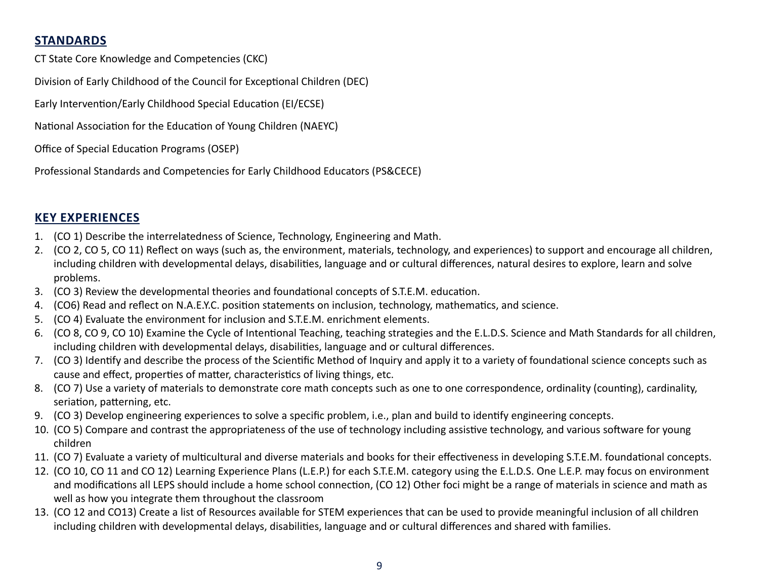## **STANDARDS**

CT State Core Knowledge and Competencies (CKC)

Division of Early Childhood of the Council for Exceptional Children (DEC)

Early Intervention/Early Childhood Special Education (EI/ECSE)

National Association for the Education of Young Children (NAEYC)

Office of Special Education Programs (OSEP)

Professional Standards and Competencies for Early Childhood Educators (PS&CECE)

## **KEY EXPERIENCES**

- 1. (CO 1) Describe the interrelatedness of Science, Technology, Engineering and Math.
- 2. (CO 2, CO 5, CO 11) Reflect on ways (such as, the environment, materials, technology, and experiences) to support and encourage all children, including children with developmental delays, disabilities, language and or cultural differences, natural desires to explore, learn and solve problems.
- 3. (CO 3) Review the developmental theories and foundational concepts of S.T.E.M. education.
- 4. (CO6) Read and reflect on N.A.E.Y.C. position statements on inclusion, technology, mathematics, and science.
- 5. (CO 4) Evaluate the environment for inclusion and S.T.E.M. enrichment elements.
- 6. (CO 8, CO 9, CO 10) Examine the Cycle of Intentional Teaching, teaching strategies and the E.L.D.S. Science and Math Standards for all children, including children with developmental delays, disabilities, language and or cultural differences.
- 7. (CO 3) Identify and describe the process of the Scientific Method of Inquiry and apply it to a variety of foundational science concepts such as cause and effect, properties of matter, characteristics of living things, etc.
- 8. (CO 7) Use a variety of materials to demonstrate core math concepts such as one to one correspondence, ordinality (counting), cardinality, seriation, patterning, etc.
- 9. (CO 3) Develop engineering experiences to solve a specific problem, i.e., plan and build to identify engineering concepts.
- 10. (CO 5) Compare and contrast the appropriateness of the use of technology including assistive technology, and various software for young children
- 11. (CO 7) Evaluate a variety of multicultural and diverse materials and books for their effectiveness in developing S.T.E.M. foundational concepts.
- 12. (CO 10, CO 11 and CO 12) Learning Experience Plans (L.E.P.) for each S.T.E.M. category using the E.L.D.S. One L.E.P. may focus on environment and modifications all LEPS should include a home school connection, (CO 12) Other foci might be a range of materials in science and math as well as how you integrate them throughout the classroom
- 13. (CO 12 and CO13) Create a list of Resources available for STEM experiences that can be used to provide meaningful inclusion of all children including children with developmental delays, disabilities, language and or cultural differences and shared with families.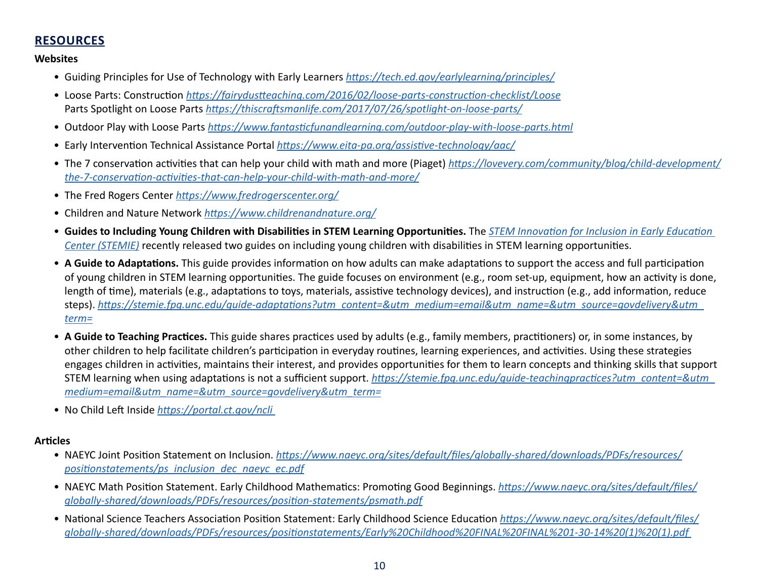## **RESOURCES**

#### **Websites**

- Guiding Principles for Use of Technology with Early Learners *<https://tech.ed.gov/earlylearning/principles/>*
- Loose Parts: Construction *<https://fairydustteaching.com/2016/02/loose-parts-construction-checklist/Loose>* Parts Spotlight on Loose Parts *<https://thiscraftsmanlife.com/2017/07/26/spotlight-on-loose-parts/>*
- Outdoor Play with Loose Parts *<https://www.fantasticfunandlearning.com/outdoor-play-with-loose-parts.html>*
- Early Intervention Technical Assistance Portal *<https://www.eita-pa.org/assistive-technology/aac/>*
- The 7 conservation activities that can help your child with math and more (Piaget) *[https://lovevery.com/community/blog/child-development/](https://lovevery.com/community/blog/child-development/the-7-conservation-activities-that-can-help-yo) [the-7-conservation-activities-that-can-help-your-child-with-math-and-more/](https://lovevery.com/community/blog/child-development/the-7-conservation-activities-that-can-help-yo)*
- The Fred Rogers Center *<https://www.fredrogerscenter.org/>*
- Children and Nature Network *<https://www.childrenandnature.org/>*
- **Guides to Including Young Children with Disabilities in STEM Learning Opportunities.** The *[STEM Innovation for Inclusion in Early Education](https://stemie.fpg.unc.edu/?utm_content=&utm_medium=email&utm_name=&utm_source=govdelivery&utm_term=)  [Center \(STEMIE\)](https://stemie.fpg.unc.edu/?utm_content=&utm_medium=email&utm_name=&utm_source=govdelivery&utm_term=)* recently released two guides on including young children with disabilities in STEM learning opportunities.
- **A Guide to Adaptations.** This guide provides information on how adults can make adaptations to support the access and full participation of young children in STEM learning opportunities. The guide focuses on environment (e.g., room set-up, equipment, how an activity is done, length of time), materials (e.g., adaptations to toys, materials, assistive technology devices), and instruction (e.g., add information, reduce steps). *[https://stemie.fpg.unc.edu/guide-adaptations?utm\\_content=&utm\\_medium=email&utm\\_name=&utm\\_source=govdelivery&utm\\_](https://stemie.fpg.unc.edu/guide-adaptations?utm_content=&utm_medium=email&utm_name=&utm_source=govdelivery&utm_term=) [term=](https://stemie.fpg.unc.edu/guide-adaptations?utm_content=&utm_medium=email&utm_name=&utm_source=govdelivery&utm_term=)*
- **A Guide to Teaching Practices.** This guide shares practices used by adults (e.g., family members, practitioners) or, in some instances, by other children to help facilitate children's participation in everyday routines, learning experiences, and activities. Using these strategies engages children in activities, maintains their interest, and provides opportunities for them to learn concepts and thinking skills that support STEM learning when using adaptations is not a sufficient support. *[https://stemie.fpg.unc.edu/guide-teachingpractices?utm\\_content=&utm\\_](https://stemie.fpg.unc.edu/guide-teaching-practices?utm_content=&utm_medium=email&utm_name=&utm_source=govdelivery&utm_term=) [medium=email&utm\\_name=&utm\\_source=govdelivery&utm\\_term=](https://stemie.fpg.unc.edu/guide-teaching-practices?utm_content=&utm_medium=email&utm_name=&utm_source=govdelivery&utm_term=)*
- No Child Left Inside *[https://portal.ct.gov/ncli](https://portal.ct.gov/ncli )*

#### **Articles**

- NAEYC Joint Position Statement on Inclusion. *[https://www.naeyc.org/sites/default/files/globally-shared/downloads/PDFs/resources/](https://www.naeyc.org/sites/default/files/globally-shared/downloads/PDFs/resources/position-statements/ps_inclusion_dec_naeyc_ec.pdf) [positionstatements/ps\\_inclusion\\_dec\\_naeyc\\_ec.pdf](https://www.naeyc.org/sites/default/files/globally-shared/downloads/PDFs/resources/position-statements/ps_inclusion_dec_naeyc_ec.pdf)*
- NAEYC Math Position Statement. Early Childhood Mathematics: Promoting Good Beginnings. *[https://www.naeyc.org/sites/default/files/](https://stemie.fpg.unc.edu/guide-teaching-practices?utm_content=&utm_medium=email&utm_name=&utm_source=govdelivery&utm_term=) [globally-shared/downloads/PDFs/resources/position-statements/psmath.pdf](https://stemie.fpg.unc.edu/guide-teaching-practices?utm_content=&utm_medium=email&utm_name=&utm_source=govdelivery&utm_term=)*
- National Science Teachers Association Position Statement: Early Childhood Science Education *[https://www.naeyc.org/sites/default/files/](https://www.naeyc.org/sites/default/files/globally-shared/downloads/PDFs/resources/position-statements/Early%20Childhood%20FINAL%20FINAL%201-30-14%20(1)%20(1).pdf) [globally-shared/downloads/PDFs/resources/positionstatements/Early%20Childhood%20FINAL%20FINAL%201-30-14%20\(1\)%20\(1\).pdf](https://www.naeyc.org/sites/default/files/globally-shared/downloads/PDFs/resources/position-statements/Early%20Childhood%20FINAL%20FINAL%201-30-14%20(1)%20(1).pdf)*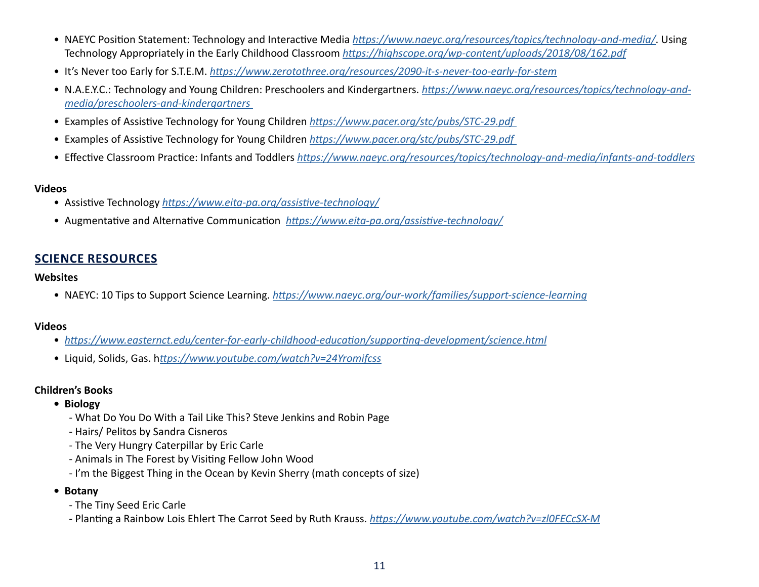- NAEYC Position Statement: Technology and Interactive Media *<https://www.naeyc.org/resources/topics/technology-and-media/>*. Using Technology Appropriately in the Early Childhood Classroom *<https://highscope.org/wp-content/uploads/2018/08/162.pdf>*
- It's Never too Early for S.T.E.M. *<https://www.zerotothree.org/resources/2090-it-s-never-too-early-for-stem>*
- N.A.E.Y.C.: Technology and Young Children: Preschoolers and Kindergartners. *[https://www.naeyc.org/resources/topics/technology-and](https://www.naeyc.org/resources/topics/technology-and-media/preschoolers-and-kindergartners)[media/preschoolers-and-kindergartners](https://www.naeyc.org/resources/topics/technology-and-media/preschoolers-and-kindergartners)*
- Examples of Assistive Technology for Young Children *<https://www.pacer.org/stc/pubs/STC-29.pdf>*
- Examples of Assistive Technology for Young Children *<https://www.pacer.org/stc/pubs/STC-29.pdf>*
- Effective Classroom Practice: Infants and Toddlers *<https://www.naeyc.org/resources/topics/technology-and-media/infants-and-toddlers>*

#### **Videos**

- Assistive Technology *<https://www.eita-pa.org/assistive-technology/>*
- Augmentative and Alternative Communication *<https://www.eita-pa.org/assistive-technology/>*

## **SCIENCE RESOURCES**

#### **Websites**

• NAEYC: 10 Tips to Support Science Learning. *<https://www.naeyc.org/our-work/families/support-science-learning>*

#### **Videos**

- *<https://www.easternct.edu/center-for-early-childhood-education/supporting-development/science.html>*
- Liquid, Solids, Gas. h*<ttps://www.youtube.com/watch?v=24Yromifcss>*

#### **Children's Books**

- **Biology** 
	- What Do You Do With a Tail Like This? Steve Jenkins and Robin Page
	- Hairs/ Pelitos by Sandra Cisneros
	- The Very Hungry Caterpillar by Eric Carle
	- Animals in The Forest by Visiting Fellow John Wood
	- I'm the Biggest Thing in the Ocean by Kevin Sherry (math concepts of size)
- **Botany** 
	- The Tiny Seed Eric Carle
	- Planting a Rainbow Lois Ehlert The Carrot Seed by Ruth Krauss. *<https://www.youtube.com/watch?v=zl0FECcSX-M>*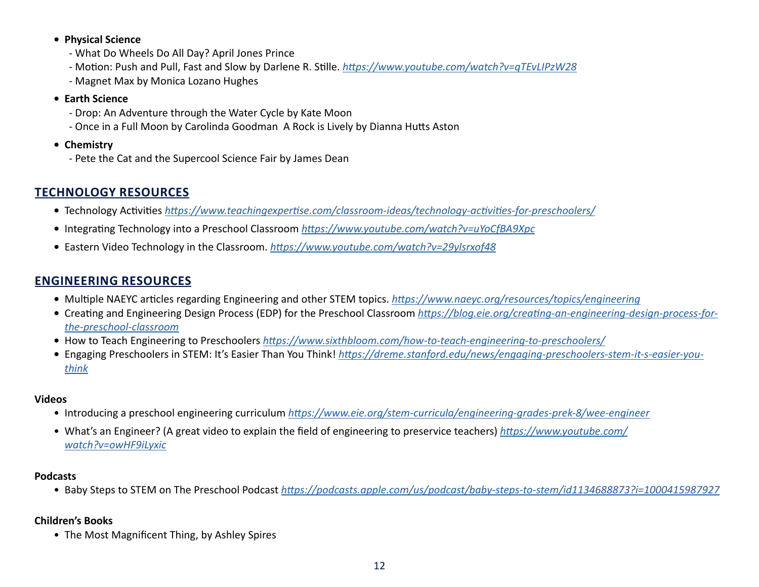#### **• Physical Science**

- What Do Wheels Do All Day? April Jones Prince
- Motion: Push and Pull, Fast and Slow by Darlene R. Stille. *<https://www.youtube.com/watch?v=qTEvLIPzW28>*
- Magnet Max by Monica Lozano Hughes

#### **• Earth Science**

- Drop: An Adventure through the Water Cycle by Kate Moon
- Once in a Full Moon by Carolinda Goodman A Rock is Lively by Dianna Hutts Aston
- **Chemistry** 
	- Pete the Cat and the Supercool Science Fair by James Dean

## **TECHNOLOGY RESOURCES**

- Technology Activities *<https://www.teachingexpertise.com/classroom-ideas/technology-activities-for-preschoolers/>*
- Integrating Technology into a Preschool Classroom *<https://www.youtube.com/watch?v=uYoCfBA9Xpc>*
- Eastern Video Technology in the Classroom. *<https://www.youtube.com/watch?v=29ylsrxof48>*

## **ENGINEERING RESOURCES**

- Multiple NAEYC articles regarding Engineering and other STEM topics. *<https://www.naeyc.org/resources/topics/engineering>*
- Creating and Engineering Design Process (EDP) for the Preschool Classroom *[https://blog.eie.org/creating-an-engineering-design-process-for](https://blog.eie.org/creating-an-engineering-design-process-for-the-preschool-classroom)[the-preschool-classroom](https://blog.eie.org/creating-an-engineering-design-process-for-the-preschool-classroom)*
- How to Teach Engineering to Preschoolers *<https://www.sixthbloom.com/how-to-teach-engineering-to-preschoolers/>*
- Engaging Preschoolers in STEM: It's Easier Than You Think! *[https://dreme.stanford.edu/news/engaging-preschoolers-stem-it-s-easier-you](https://dreme.stanford.edu/news/engaging-preschoolers-stem-it-s-easier-you-think)[think](https://dreme.stanford.edu/news/engaging-preschoolers-stem-it-s-easier-you-think)*

### **Videos**

- Introducing a preschool engineering curriculum *<https://www.eie.org/stem-curricula/engineering-grades-prek-8/wee-engineer>*
- What's an Engineer? (A great video to explain the field of engineering to preservice teachers) *[https://www.youtube.com/](https://www.youtube.com/watch?v=owHF9iLyxic) [watch?v=owHF9iLyxic](https://www.youtube.com/watch?v=owHF9iLyxic)*

## **Podcasts**

• Baby Steps to STEM on The Preschool Podcast *<https://podcasts.apple.com/us/podcast/baby-steps-to-stem/id1134688873?i=1000415987927>*

## **Children's Books**

• The Most Magnificent Thing, by Ashley Spires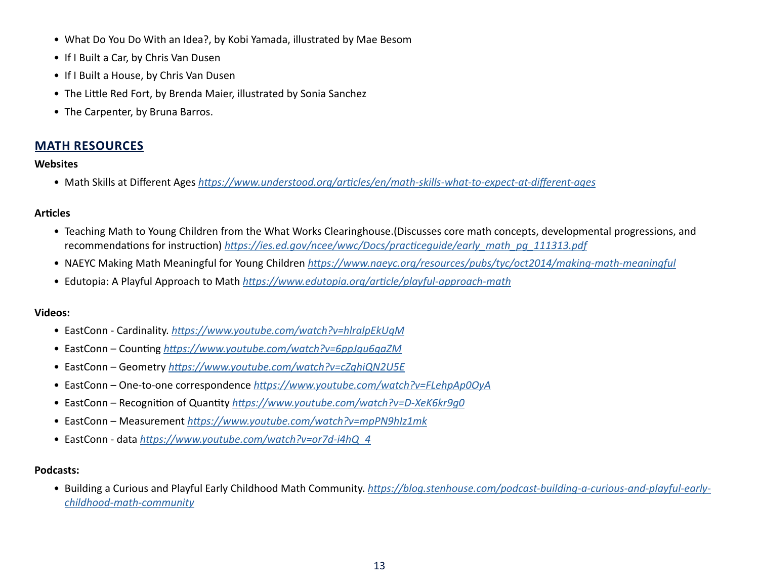- What Do You Do With an Idea?, by Kobi Yamada, illustrated by Mae Besom
- If I Built a Car, by Chris Van Dusen
- If I Built a House, by Chris Van Dusen
- The Little Red Fort, by Brenda Maier, illustrated by Sonia Sanchez
- The Carpenter, by Bruna Barros.

#### **MATH RESOURCES**

#### **Websites**

• Math Skills at Different Ages *<https://www.understood.org/articles/en/math-skills-what-to-expect-at-different-ages>*

#### **Articles**

- Teaching Math to Young Children from the What Works Clearinghouse.(Discusses core math concepts, developmental progressions, and recommendations for instruction) *[https://ies.ed.gov/ncee/wwc/Docs/practiceguide/early\\_math\\_pg\\_111313.pdf](https://ies.ed.gov/ncee/wwc/Docs/practiceguide/early_math_pg_111313.pdf)*
- NAEYC Making Math Meaningful for Young Children *<https://www.naeyc.org/resources/pubs/tyc/oct2014/making-math-meaningful>*
- Edutopia: A Playful Approach to Math *<https://www.edutopia.org/article/playful-approach-math>*

#### **Videos:**

- EastConn Cardinality. *<https://www.youtube.com/watch?v=hlralpEkUqM>*
- EastConn Counting *<https://www.youtube.com/watch?v=6ppJgu6qaZM>*
- EastConn Geometry *<https://www.youtube.com/watch?v=cZghiQN2U5E>*
- EastConn One-to-one correspondence *<https://www.youtube.com/watch?v=FLehpAp0OyA>*
- EastConn Recognition of Quantity *<https://www.youtube.com/watch?v=D-XeK6kr9g0>*
- EastConn Measurement *<https://www.youtube.com/watch?v=mpPN9hIz1mk>*
- EastConn data *[https://www.youtube.com/watch?v=or7d-i4hQ\\_4](https://www.youtube.com/watch?v=or7d-i4hQ_4)*

#### **Podcasts:**

• Building a Curious and Playful Early Childhood Math Community. *[https://blog.stenhouse.com/podcast-building-a-curious-and-playful-early](https://blog.stenhouse.com/podcast-building-a-curious-and-playful-early-childhood-math-community)[childhood-math-community](https://blog.stenhouse.com/podcast-building-a-curious-and-playful-early-childhood-math-community)*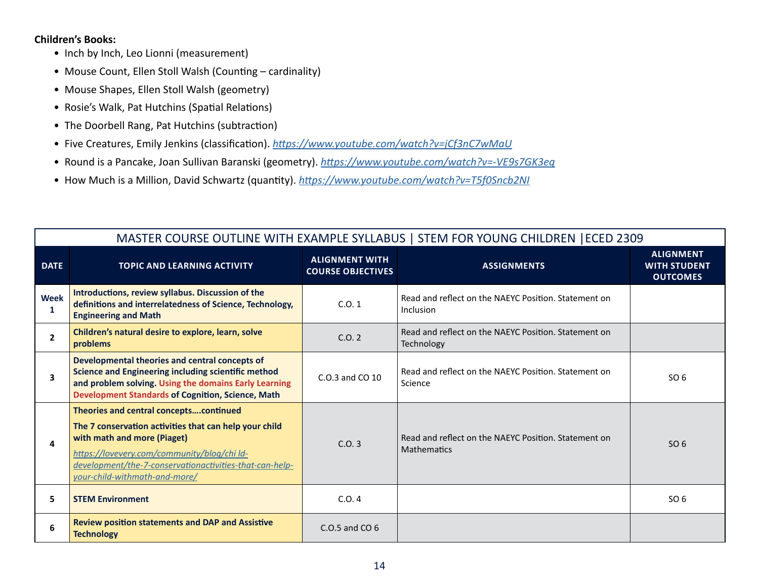#### **Children's Books:**

- Inch by Inch, Leo Lionni (measurement)
- Mouse Count, Ellen Stoll Walsh (Counting cardinality)
- Mouse Shapes, Ellen Stoll Walsh (geometry)
- Rosie's Walk, Pat Hutchins (Spatial Relations)
- The Doorbell Rang, Pat Hutchins (subtraction)
- Five Creatures, Emily Jenkins (classification). *<https://www.youtube.com/watch?v=jCf3nC7wMaU>*
- Round is a Pancake, Joan Sullivan Baranski (geometry). *<https://www.youtube.com/watch?v=-VE9s7GK3eg>*
- How Much is a Million, David Schwartz (quantity). *<https://www.youtube.com/watch?v=T5f0Sncb2NI>*

|                  | MASTER COURSE OUTLINE WITH EXAMPLE SYLLABUS   STEM FOR YOUNG CHILDREN   ECED 2309                                                                                                                                                                                          |                                                   |                                                                            |                                                            |  |  |
|------------------|----------------------------------------------------------------------------------------------------------------------------------------------------------------------------------------------------------------------------------------------------------------------------|---------------------------------------------------|----------------------------------------------------------------------------|------------------------------------------------------------|--|--|
| <b>DATE</b>      | <b>TOPIC AND LEARNING ACTIVITY</b>                                                                                                                                                                                                                                         | <b>ALIGNMENT WITH</b><br><b>COURSE OBJECTIVES</b> | <b>ASSIGNMENTS</b>                                                         | <b>ALIGNMENT</b><br><b>WITH STUDENT</b><br><b>OUTCOMES</b> |  |  |
| <b>Week</b><br>1 | Introductions, review syllabus. Discussion of the<br>definitions and interrelatedness of Science, Technology,<br><b>Engineering and Math</b>                                                                                                                               | C.0.1                                             | Read and reflect on the NAEYC Position. Statement on<br>Inclusion          |                                                            |  |  |
| $\overline{2}$   | Children's natural desire to explore, learn, solve<br>problems                                                                                                                                                                                                             | C.0.2                                             | Read and reflect on the NAEYC Position. Statement on<br>Technology         |                                                            |  |  |
| 3                | Developmental theories and central concepts of<br>Science and Engineering including scientific method<br>and problem solving. Using the domains Early Learning<br><b>Development Standards of Cognition, Science, Math</b>                                                 | C.O.3 and CO 10                                   | Read and reflect on the NAEYC Position. Statement on<br>Science            | SO <sub>6</sub>                                            |  |  |
| 4                | Theories and central conceptscontinued<br>The 7 conservation activities that can help your child<br>with math and more (Piaget)<br>https://lovevery.com/community/blog/chi ld-<br>development/the-7-conservationactivities-that-can-help-<br>your-child-withmath-and-more/ | C.0.3                                             | Read and reflect on the NAEYC Position. Statement on<br><b>Mathematics</b> | SO 6                                                       |  |  |
| 5                | <b>STEM Environment</b>                                                                                                                                                                                                                                                    | C.0.4                                             |                                                                            | SO <sub>6</sub>                                            |  |  |
| 6                | <b>Review position statements and DAP and Assistive</b><br><b>Technology</b>                                                                                                                                                                                               | $C.0.5$ and $CO6$                                 |                                                                            |                                                            |  |  |